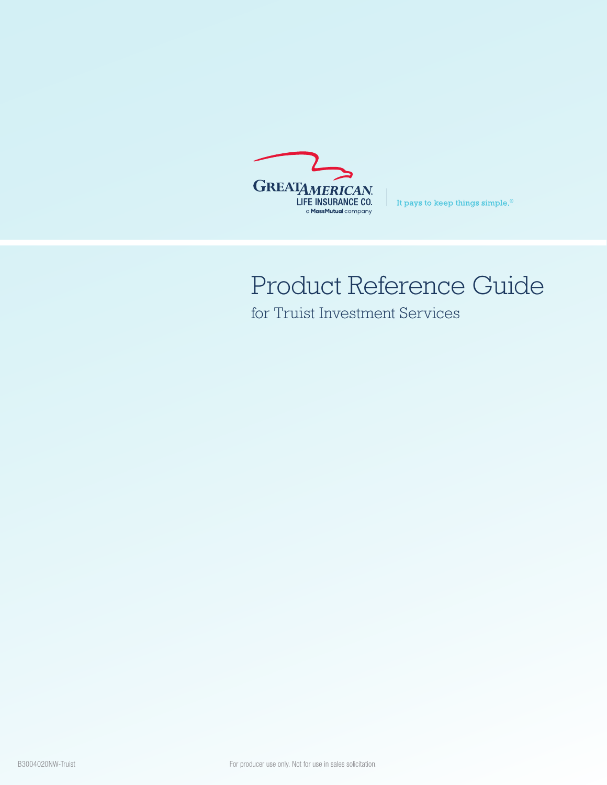

It pays to keep things simple.<sup>®</sup>

# Product Reference Guide

for Truist Investment Services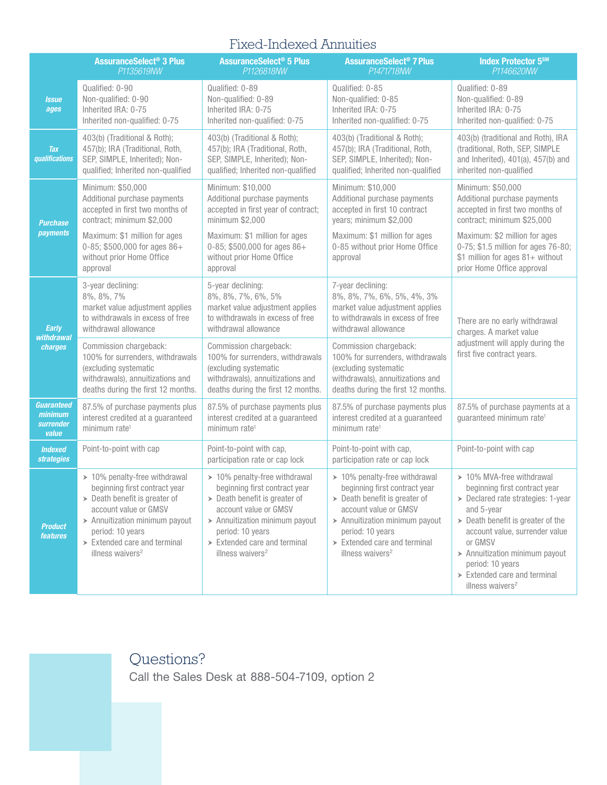#### Fixed-Indexed Annuities

|                                                    | <b>AssuranceSelect<sup>®</sup> 3 Plus</b><br>P1135619NW                                                                                                                                                                                                                          | <b>AssuranceSelect<sup>®</sup> 5 Plus</b><br>P1126818NW                                                                                                                                                                                                                           | <b>AssuranceSelect<sup>®</sup> 7 Plus</b><br>P1471718NW                                                                                                                                                                                                                                        | <b>Index Protector 5SM</b><br>P1146620NW                                                                                                                                                                                                                                                                                                                               |  |
|----------------------------------------------------|----------------------------------------------------------------------------------------------------------------------------------------------------------------------------------------------------------------------------------------------------------------------------------|-----------------------------------------------------------------------------------------------------------------------------------------------------------------------------------------------------------------------------------------------------------------------------------|------------------------------------------------------------------------------------------------------------------------------------------------------------------------------------------------------------------------------------------------------------------------------------------------|------------------------------------------------------------------------------------------------------------------------------------------------------------------------------------------------------------------------------------------------------------------------------------------------------------------------------------------------------------------------|--|
| <b>Issue</b><br>ages                               | Qualified: 0-90<br>Non-qualified: 0-90<br>Inherited IRA: 0-75<br>Inherited non-qualified: 0-75                                                                                                                                                                                   | Qualified: 0-89<br>Non-qualified: 0-89<br>Inherited IRA: 0-75<br>Inherited non-qualified: 0-75                                                                                                                                                                                    | Qualified: 0-85<br>Non-qualified: 0-85<br>Inherited IRA: 0-75<br>Inherited non-qualified: 0-75                                                                                                                                                                                                 | Qualified: 0-89<br>Non-qualified: 0-89<br>Inherited IRA: 0-75<br>Inherited non-qualified: 0-75                                                                                                                                                                                                                                                                         |  |
| <b>Tax</b><br>qualifications                       | 403(b) (Traditional & Roth);<br>403(b) (Traditional & Roth);<br>457(b); IRA (Traditional, Roth,<br>457(b); IRA (Traditional, Roth,<br>SEP, SIMPLE, Inherited); Non-<br>SEP, SIMPLE, Inherited); Non-<br>qualified; Inherited non-qualified<br>qualified; Inherited non-qualified |                                                                                                                                                                                                                                                                                   | 403(b) (Traditional & Roth);<br>457(b); IRA (Traditional, Roth,<br>SEP, SIMPLE, Inherited); Non-<br>qualified; Inherited non-qualified                                                                                                                                                         | 403(b) (traditional and Roth), IRA<br>(traditional, Roth, SEP, SIMPLE<br>and Inherited), 401(a), 457(b) and<br>inherited non-qualified                                                                                                                                                                                                                                 |  |
| <b>Purchase</b><br>payments                        | Minimum: \$50,000<br>Additional purchase payments<br>accepted in first two months of<br>contract; minimum \$2,000                                                                                                                                                                | Minimum: \$10,000<br>Additional purchase payments<br>accepted in first year of contract;<br>minimum \$2,000                                                                                                                                                                       | Minimum: \$10,000<br>Additional purchase payments<br>accepted in first 10 contract<br>years; minimum \$2,000                                                                                                                                                                                   | Minimum: \$50,000<br>Additional purchase payments<br>accepted in first two months of<br>contract; minimum \$25,000                                                                                                                                                                                                                                                     |  |
|                                                    | Maximum: \$1 million for ages<br>0-85; \$500,000 for ages 86+<br>without prior Home Office<br>approval                                                                                                                                                                           | Maximum: \$1 million for ages<br>0-85; \$500,000 for ages 86+<br>without prior Home Office<br>approval                                                                                                                                                                            | Maximum: \$1 million for ages<br>0-85 without prior Home Office<br>approval                                                                                                                                                                                                                    | Maximum: \$2 million for ages<br>0-75; \$1.5 million for ages 76-80;<br>\$1 million for ages 81+ without<br>prior Home Office approval                                                                                                                                                                                                                                 |  |
| <b>Early</b><br>withdrawal<br>charges              | 3-year declining:<br>8%, 8%, 7%<br>market value adjustment applies<br>to withdrawals in excess of free<br>withdrawal allowance                                                                                                                                                   | 5-year declining:<br>8%, 8%, 7%, 6%, 5%<br>market value adjustment applies<br>to withdrawals in excess of free<br>withdrawal allowance                                                                                                                                            | 7-year declining:<br>8%, 8%, 7%, 6%, 5%, 4%, 3%<br>market value adjustment applies<br>to withdrawals in excess of free<br>withdrawal allowance                                                                                                                                                 | There are no early withdrawal<br>charges. A market value<br>adjustment will apply during the<br>first five contract years.                                                                                                                                                                                                                                             |  |
|                                                    | Commission chargeback:<br>100% for surrenders, withdrawals<br>(excluding systematic<br>withdrawals), annuitizations and<br>deaths during the first 12 months.                                                                                                                    | Commission chargeback:<br>100% for surrenders, withdrawals<br>(excluding systematic<br>withdrawals), annuitizations and<br>deaths during the first 12 months.                                                                                                                     | Commission chargeback:<br>100% for surrenders, withdrawals<br>(excluding systematic<br>withdrawals), annuitizations and<br>deaths during the first 12 months.                                                                                                                                  |                                                                                                                                                                                                                                                                                                                                                                        |  |
| <b>Guaranteed</b><br>minimum<br>surrender<br>value | 87.5% of purchase payments plus<br>interest credited at a guaranteed<br>minimum rate <sup>1</sup>                                                                                                                                                                                | 87.5% of purchase payments plus<br>interest credited at a guaranteed<br>minimum rate <sup>1</sup>                                                                                                                                                                                 | 87.5% of purchase payments plus<br>interest credited at a guaranteed<br>minimum rate <sup>1</sup>                                                                                                                                                                                              | 87.5% of purchase payments at a<br>guaranteed minimum rate <sup>1</sup>                                                                                                                                                                                                                                                                                                |  |
| <b>Indexed</b><br><b>strategies</b>                | Point-to-point with cap                                                                                                                                                                                                                                                          | Point-to-point with cap,<br>participation rate or cap lock                                                                                                                                                                                                                        | Point-to-point with cap,<br>participation rate or cap lock                                                                                                                                                                                                                                     | Point-to-point with cap                                                                                                                                                                                                                                                                                                                                                |  |
| <b>Product</b><br><i><b>features</b></i>           | $> 10\%$ penalty-free withdrawal<br>beginning first contract year<br>$\triangleright$ Death benefit is greater of<br>account value or GMSV<br>> Annuitization minimum payout<br>period: 10 years<br>$\triangleright$ Extended care and terminal<br>illness waivers <sup>2</sup>  | $> 10\%$ penalty-free withdrawal<br>beginning first contract year<br>$\triangleright$ Death benefit is greater of<br>account value or GMSV<br>$>$ Annuitization minimum payout<br>period: 10 years<br>$\triangleright$ Extended care and terminal<br>illness waivers <sup>2</sup> | $> 10\%$ penalty-free withdrawal<br>beginning first contract year<br>$\triangleright$ Death benefit is greater of<br>account value or GMSV<br>$\triangleright$ Annuitization minimum payout<br>period: 10 years<br>$\triangleright$ Extended care and terminal<br>illness waivers <sup>2</sup> | $> 10\%$ MVA-free withdrawal<br>beginning first contract year<br>$\triangleright$ Declared rate strategies: 1-year<br>and 5-year<br>$\triangleright$ Death benefit is greater of the<br>account value, surrender value<br>or GMSV<br>> Annuitization minimum payout<br>period: 10 years<br>$\triangleright$ Extended care and terminal<br>illness waivers <sup>2</sup> |  |



Call the Sales Desk at 888-504-7109, option 2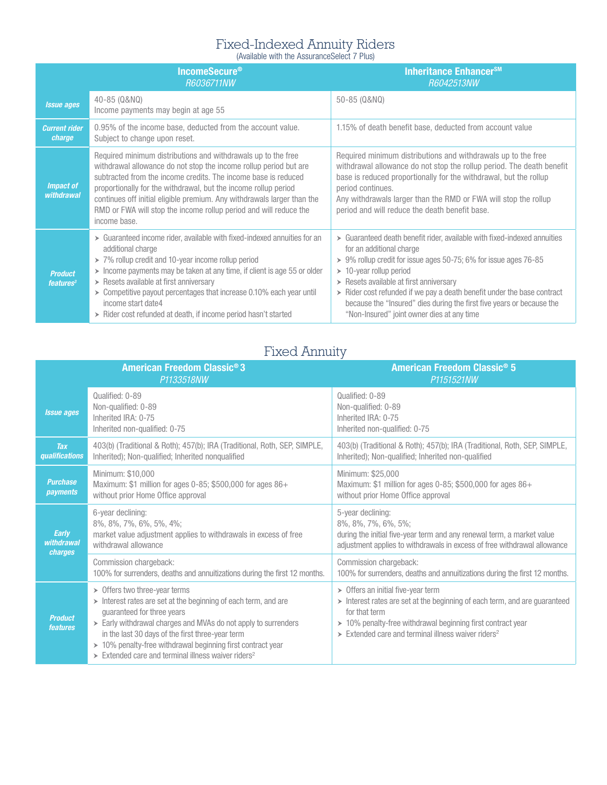### Fixed-Indexed Annuity Riders

(Available with the AssuranceSelect 7 Plus)

|                                         | <b>IncomeSecure®</b><br>R6036711NW                                                                                                                                                                                                                                                                                                                                                                                                                                                                       | <b>Inheritance Enhancer</b> <sup>SM</sup><br>R6042513NW                                                                                                                                                                                                                                                                                                                                                                                                                                          |
|-----------------------------------------|----------------------------------------------------------------------------------------------------------------------------------------------------------------------------------------------------------------------------------------------------------------------------------------------------------------------------------------------------------------------------------------------------------------------------------------------------------------------------------------------------------|--------------------------------------------------------------------------------------------------------------------------------------------------------------------------------------------------------------------------------------------------------------------------------------------------------------------------------------------------------------------------------------------------------------------------------------------------------------------------------------------------|
| <b>Issue ages</b>                       | 40-85 (Q&NQ)<br>Income payments may begin at age 55                                                                                                                                                                                                                                                                                                                                                                                                                                                      | 50-85 (Q&NQ)                                                                                                                                                                                                                                                                                                                                                                                                                                                                                     |
| <b>Current rider</b><br>charge          | 0.95% of the income base, deducted from the account value.<br>Subject to change upon reset.                                                                                                                                                                                                                                                                                                                                                                                                              | 1.15% of death benefit base, deducted from account value                                                                                                                                                                                                                                                                                                                                                                                                                                         |
| <b>Impact of</b><br>withdrawal          | Required minimum distributions and withdrawals up to the free<br>withdrawal allowance do not stop the income rollup period but are<br>subtracted from the income credits. The income base is reduced<br>proportionally for the withdrawal, but the income rollup period<br>continues off initial eligible premium. Any withdrawals larger than the<br>RMD or FWA will stop the income rollup period and will reduce the<br>income base.                                                                  | Required minimum distributions and withdrawals up to the free<br>withdrawal allowance do not stop the rollup period. The death benefit<br>base is reduced proportionally for the withdrawal, but the rollup<br>period continues.<br>Any withdrawals larger than the RMD or FWA will stop the rollup<br>period and will reduce the death benefit base.                                                                                                                                            |
| <b>Product</b><br>features <sup>3</sup> | $\triangleright$ Guaranteed income rider, available with fixed-indexed annuities for an<br>additional charge<br>> 7% rollup credit and 10-year income rollup period<br>$\triangleright$ Income payments may be taken at any time, if client is age 55 or older<br>$\triangleright$ Resets available at first anniversary<br>$\triangleright$ Competitive payout percentages that increase 0.10% each year until<br>income start date4<br>> Rider cost refunded at death, if income period hasn't started | $\triangleright$ Guaranteed death benefit rider, available with fixed-indexed annuities<br>for an additional charge<br>> 9% rollup credit for issue ages 50-75; 6% for issue ages 76-85<br>$> 10$ -year rollup period<br>$\triangleright$ Resets available at first anniversary<br>$\triangleright$ Rider cost refunded if we pay a death benefit under the base contract<br>because the "Insured" dies during the first five years or because the<br>"Non-Insured" joint owner dies at any time |

## Fixed Annuity

|                                       | <b>American Freedom Classic<sup>®</sup> 3</b><br>P1133518NW                                                                                                                                                                                                                                                                                                                                                                   | <b>American Freedom Classic<sup>®</sup> 5</b><br>P1151521NW                                                                                                                                                                                                                                                           |
|---------------------------------------|-------------------------------------------------------------------------------------------------------------------------------------------------------------------------------------------------------------------------------------------------------------------------------------------------------------------------------------------------------------------------------------------------------------------------------|-----------------------------------------------------------------------------------------------------------------------------------------------------------------------------------------------------------------------------------------------------------------------------------------------------------------------|
| <b>Issue ages</b>                     | Qualified: 0-89<br>Non-qualified: 0-89<br>Inherited IRA: 0-75<br>Inherited non-qualified: 0-75                                                                                                                                                                                                                                                                                                                                | Qualified: 0-89<br>Non-qualified: 0-89<br>Inherited IRA: 0-75<br>Inherited non-qualified: 0-75                                                                                                                                                                                                                        |
| <b>Tax</b><br>qualifications          | 403(b) (Traditional & Roth); 457(b); IRA (Traditional, Roth, SEP, SIMPLE,<br>Inherited); Non-qualified; Inherited nonqualified                                                                                                                                                                                                                                                                                                | 403(b) (Traditional & Roth); 457(b); IRA (Traditional, Roth, SEP, SIMPLE,<br>Inherited); Non-qualified; Inherited non-qualified                                                                                                                                                                                       |
| <b>Purchase</b><br><i>payments</i>    | Minimum: \$10,000<br>Maximum: \$1 million for ages 0-85; \$500,000 for ages 86+<br>without prior Home Office approval                                                                                                                                                                                                                                                                                                         | Minimum: \$25,000<br>Maximum: \$1 million for ages 0-85; \$500,000 for ages 86+<br>without prior Home Office approval                                                                                                                                                                                                 |
| <b>Early</b><br>withdrawal<br>charges | 6-year declining:<br>8%, 8%, 7%, 6%, 5%, 4%;<br>market value adjustment applies to withdrawals in excess of free<br>withdrawal allowance                                                                                                                                                                                                                                                                                      | 5-year declining:<br>8%, 8%, 7%, 6%, 5%;<br>during the initial five-year term and any renewal term, a market value<br>adjustment applies to withdrawals in excess of free withdrawal allowance                                                                                                                        |
|                                       | Commission chargeback:<br>100% for surrenders, deaths and annuitizations during the first 12 months.                                                                                                                                                                                                                                                                                                                          | Commission chargeback:<br>100% for surrenders, deaths and annuitizations during the first 12 months.                                                                                                                                                                                                                  |
| <b>Product</b><br><b>features</b>     | $\geq$ Offers two three-year terms<br>$\triangleright$ Interest rates are set at the beginning of each term, and are<br>quaranteed for three years<br>$\ge$ Early withdrawal charges and MVAs do not apply to surrenders<br>in the last 30 days of the first three-year term<br>> 10% penalty-free withdrawal beginning first contract year<br>$\triangleright$ Extended care and terminal illness waiver riders <sup>2</sup> | $\triangleright$ Offers an initial five-year term<br>$\triangleright$ Interest rates are set at the beginning of each term, and are guaranteed<br>for that term<br>$\geq$ 10% penalty-free withdrawal beginning first contract year<br>$\triangleright$ Extended care and terminal illness waiver riders <sup>2</sup> |